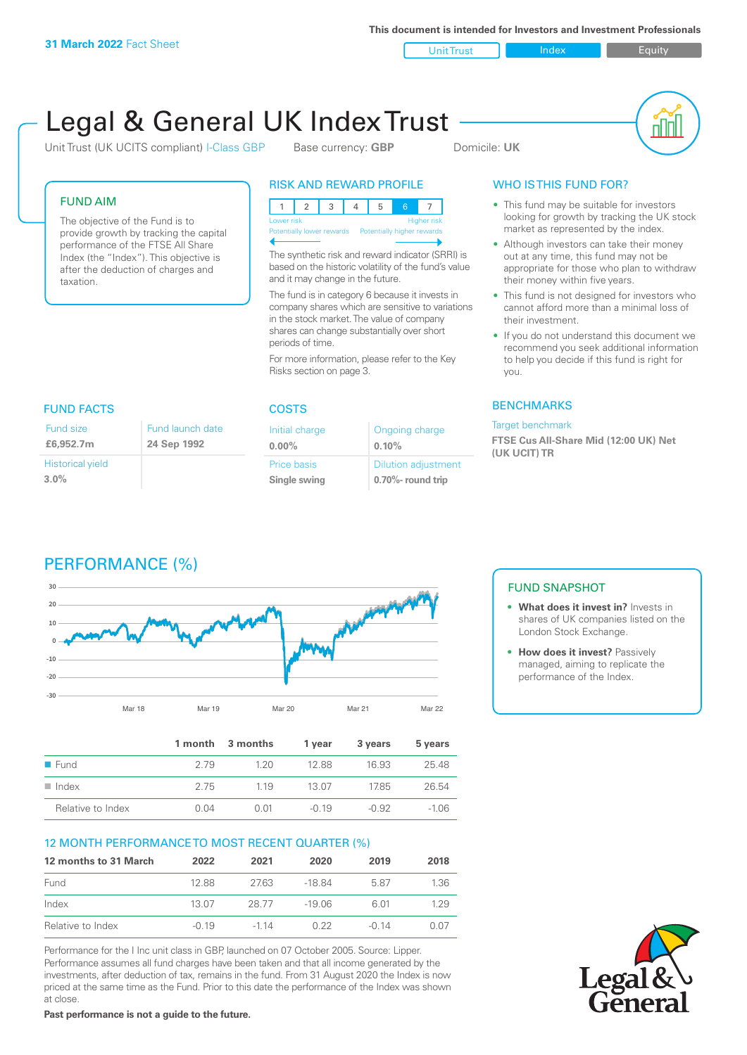**This document is intended for Investors and Investment Professionals**

Unit Trust Index **Index** Equity

# Legal & General UK Index Trust

Unit Trust (UK UCITS compliant) I-Class GBP Base currency: **GBP** Domicile: UK



#### FUND AIM

The objective of the Fund is to provide growth by tracking the capital performance of the FTSE All Share Index (the "Index"). This objective is after the deduction of charges and taxation.

#### RISK AND REWARD PROFILE

| Lower risk                |  |  |  |                            | <b>Higher risk</b> |
|---------------------------|--|--|--|----------------------------|--------------------|
| Potentially lower rewards |  |  |  | Potentially higher rewards |                    |
|                           |  |  |  |                            |                    |

The synthetic risk and reward indicator (SRRI) is based on the historic volatility of the fund's value and it may change in the future.

The fund is in category 6 because it invests in company shares which are sensitive to variations in the stock market. The value of company shares can change substantially over short periods of time.

For more information, please refer to the Key Risks section on page 3.

| <b>FUND FACTS</b>                  |                                 | <b>COSTS</b>           |
|------------------------------------|---------------------------------|------------------------|
| Fund size<br>£6,952.7m             | Fund launch date<br>24 Sep 1992 | Initial ch<br>$0.00\%$ |
| <b>Historical yield</b><br>$3.0\%$ |                                 | Price bas<br>Single sy |

| ٠ | ۷ | ٠ | ۹ |  |
|---|---|---|---|--|
|   |   |   |   |  |

| Initial charge     | Ongoing charge             |
|--------------------|----------------------------|
| $0.00\%$           | 0.10%                      |
| <b>Price basis</b> | <b>Dilution adjustment</b> |
| Single swing       | 0.70%- round trip          |

### WHO IS THIS FUND FOR?

- This fund may be suitable for investors looking for growth by tracking the UK stock market as represented by the index.
- Although investors can take their money out at any time, this fund may not be appropriate for those who plan to withdraw their money within five years.
- This fund is not designed for investors who cannot afford more than a minimal loss of their investment.
- If you do not understand this document we recommend you seek additional information to help you decide if this fund is right for you.

#### **BENCHMARKS**

#### Target benchmark

**FTSE Cus All-Share Mid (12:00 UK) Net (UK UCIT) TR**





|                      |      | 1 month 3 months | 1 year  | 3 years | 5 years |
|----------------------|------|------------------|---------|---------|---------|
| $\blacksquare$ Fund  | 2 79 | 120              | 12.88   | 16.93   | 25.48   |
| $\blacksquare$ Index | 275  | 1 1 9            | 13.07   | 1785    | 26.54   |
| Relative to Index    | 0 Q4 | O 01             | $-0.19$ | $-0.92$ | -1.06   |

#### 12 MONTH PERFORMANCE TO MOST RECENT QUARTER (%)

| 12 months to 31 March | 2022    | 2021   | 2020     | 2019    | 2018 |
|-----------------------|---------|--------|----------|---------|------|
| Fund                  | 1288    | 2763   | $-18.84$ | 587     | 1.36 |
| Index                 | 13.07   | 28.77  | -19.06   | 6.01    | 129  |
| Relative to Index     | $-0.19$ | $-114$ | O 22     | $-0.14$ | 0.07 |

Performance for the I Inc unit class in GBP, launched on 07 October 2005. Source: Lipper. Performance assumes all fund charges have been taken and that all income generated by the investments, after deduction of tax, remains in the fund. From 31 August 2020 the Index is now priced at the same time as the Fund. Prior to this date the performance of the Index was shown at close.

**Past performance is not a guide to the future.**

### FUND SNAPSHOT

- **• What does it invest in?** Invests in shares of UK companies listed on the London Stock Exchange.
- **• How does it invest?** Passively managed, aiming to replicate the performance of the Index.

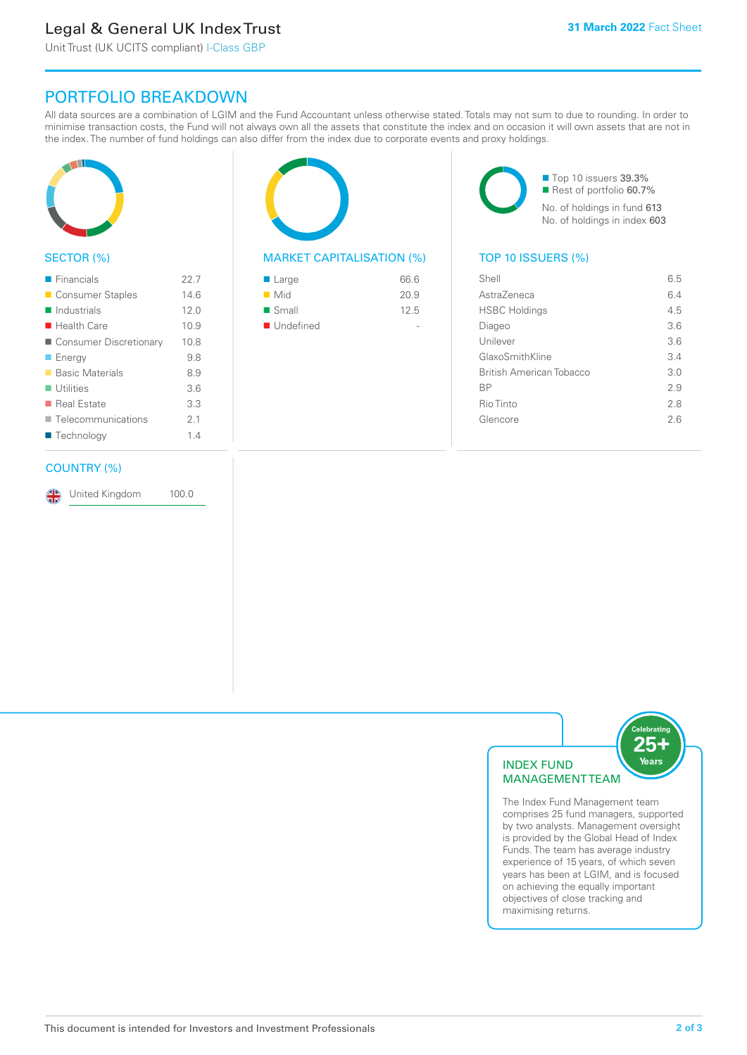# Legal & General UK Index Trust

Unit Trust (UK UCITS compliant) I-Class GBP

## PORTFOLIO BREAKDOWN

All data sources are a combination of LGIM and the Fund Accountant unless otherwise stated. Totals may not sum to due to rounding. In order to minimise transaction costs, the Fund will not always own all the assets that constitute the index and on occasion it will own assets that are not in the index. The number of fund holdings can also differ from the index due to corporate events and proxy holdings.



#### SECTOR (%)

| $\blacksquare$ Financials  | 227  |
|----------------------------|------|
| ■ Consumer Staples         | 14.6 |
| $\blacksquare$ Industrials | 12.0 |
| $\blacksquare$ Health Care | 10.9 |
| ■ Consumer Discretionary   | 10.8 |
| $\blacksquare$ Energy      | 9.8  |
| ■ Basic Materials          | 8.9  |
| $\blacksquare$ Utilities   | 3.6  |
| ■ Real Estate              | 3.3  |
| Telecommunications         | 2.1  |
| ■ Technology               | 14   |
|                            |      |

#### COUNTRY (%)

United Kingdom 100.0

#### MARKET CAPITALISATION (%) TOP 10 ISSUERS (%)

| 66.6 |
|------|
| 20.9 |
| 12.5 |
|      |
|      |

■ Top 10 issuers 39.3% ■ Rest of portfolio 60.7% No. of holdings in fund 613 No. of holdings in index 603

| Shell                    | 6.5 |
|--------------------------|-----|
| AstraZeneca              | 6.4 |
| <b>HSBC Holdings</b>     | 4.5 |
| Diageo                   | 36  |
| Unilever                 | 3.6 |
| GlaxoSmithKline          | 3.4 |
| British American Tobacco | 3.0 |
| ВP                       | 29  |
| Rio Tinto                | 2.8 |
| Glencore                 | 26  |
|                          |     |



The Index Fund Management team comprises 25 fund managers, supported by two analysts. Management oversight is provided by the Global Head of Index Funds. The team has average industry experience of 15 years, of which seven years has been at LGIM, and is focused on achieving the equally important objectives of close tracking and maximising returns.